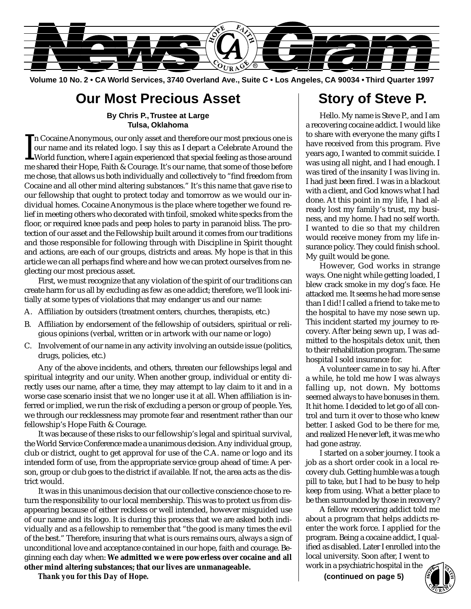

**Volume 10 No. 2 • CA World Services, 3740 Overland Ave., Suite C • Los Angeles, CA 90034 • Third Quarter 1997**

### **Our Most Precious Asset**

#### **By Chris P.,Trustee at Large Tulsa, Oklahoma**

 $\prod_{\text{meas}}$ n Cocaine Anonymous, our only asset and therefore our most precious one is our name and its related logo. I say this as I depart a Celebrate Around the World function, where I again experienced that special feeling as those around me shared their Hope, Faith & Courage. It's our name, that some of those before me chose, that allows us both individually and collectively to "find freedom from Cocaine and all other mind altering substances." It's this name that gave rise to our fellowship that ought to protect today and tomorrow as we would our individual homes. Cocaine Anonymous is the place where together we found relief in meeting others who decorated with tinfoil, smoked white specks from the floor, or required knee pads and peep holes to party in paranoid bliss. The protection of our asset and the Fellowship built around it comes from our traditions and those responsible for following through with Discipline in Spirit thought and actions, are each of our groups, districts and areas. My hope is that in this article we can all perhaps find where and how we can protect ourselves from neglecting our most precious asset.

First, we must recognize that any violation of the spirit of our traditions can create harm for us all by excluding as few as one addict; therefore, we'll look initially at some types of violations that may endanger us and our name:

- A. Affiliation by outsiders (treatment centers, churches, therapists, etc.)
- B. Affiliation by endorsement of the fellowship of outsiders, spiritual or religious opinions (verbal, written or in artwork with our name or logo)
- C. Involvement of our name in any activity involving an outside issue (politics, drugs, policies, etc.)

Any of the above incidents, and others, threaten our fellowships legal and spiritual integrity and our unity. When another group, individual or entity directly uses our name, after a time, they may attempt to lay claim to it and in a worse case scenario insist that we no longer use it at all. When affiliation is inferred or implied, we run the risk of excluding a person or group of people. Yes, we through our recklessness may promote fear and resentment rather than our fellowship's Hope Faith & Courage.

It was because of these risks to our fellowship's legal and spiritual survival, the World Service Conference made a unanimous decision. Any individual group, club or district, ought to get approval for use of the C.A. name or logo and its intended form of use, from the appropriate service group ahead of time: A person, group or club goes to the district if available. If not, the area acts as the district would.

It was in this unanimous decision that our collective conscience chose to return the responsibility to our local membership. This was to protect us from disappearing because of either reckless or well intended, however misguided use of our name and its logo. It is during this process that we are asked both individually and as a fellowship to remember that "the good is many times the evil of the best." Therefore, insuring that what is ours remains ours, always a sign of unconditional love and acceptance contained in our hope, faith and courage. Beginning each day when: **We admitted we were powerless over cocaine and all other mind altering substances; that our lives are unmanageable.**

*Thank you for this Day of Hope.*

### **Story of Steve P.**

Hello. My name is Steve P., and I am a recovering cocaine addict. I would like to share with everyone the many gifts I have received from this program. Five years ago, I wanted to commit suicide. I was using all night, and I had enough. I was tired of the insanity I was living in. I had just been fired. I was in a blackout with a client, and God knows what I had done. At this point in my life, I had already lost my family's trust, my business, and my home. I had no self worth. I wanted to die so that my children would receive money from my life insurance policy. They could finish school. My guilt would be gone.

However, God works in strange ways. One night while getting loaded, I blew crack smoke in my dog's face. He attacked me. It seems he had more sense than I did! I called a friend to take me to the hospital to have my nose sewn up. This incident started my journey to recovery. After being sewn up, I was admitted to the hospitals detox unit, then to their rehabilitation program. The same hospital I sold insurance for.

A volunteer came in to say hi. After a while, he told me how I was always falling up, not down. My bottoms seemed always to have bonuses in them. It hit home. I decided to let go of all control and turn it over to those who knew better. I asked God to be there for me, and realized He never left, it was me who had gone astray.

I started on a sober journey. I took a job as a short order cook in a local recovery club. Getting humble was a tough pill to take, but I had to be busy to help keep from using. What a better place to be then surrounded by those in recovery?

A fellow recovering addict told me about a program that helps addicts reenter the work force. I applied for the program. Being a cocaine addict, I qualified as disabled. Later I enrolled into the local university. Soon after, I went to

work in a psychiatric hospital in the  $($ **continued on page 5** $)$ 

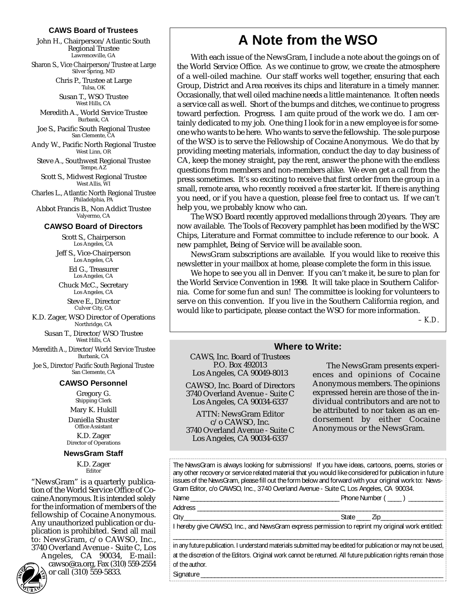#### **CAWS Board of Trustees**

John H., Chairperson/Atlantic South Regional Trustee Lawrenceville, GA

Sharon S., Vice Chairperson/Trustee at Large Silver Spring, MD

> Chris P., Trustee at Large Tulsa, OK

Susan T., WSO Trustee West Hills, CA

Meredith A., World Service Trustee Burbank, CA

Joe S., Pacific South Regional Trustee San Clemente, CA

Andy W., Pacific North Regional Trustee West Linn, OR

Steve A., Southwest Regional Trustee Tempe, AZ

Scott S., Midwest Regional Trustee West Allis, WI

Charles L., Atlantic North Regional Trustee Philadelphia, PA

Abbot Francis B., Non Addict Trustee Valyermo, CA

#### **CAWSO Board of Directors**

Scott S., Chairperson Los Angeles, CA

Jeff S., Vice-Chairperson Los Angeles, CA

Ed G., Treasurer Los Angeles, CA Chuck McC., Secretary

Los Angeles, CA Steve E., Director

Culver City, CA

K.D. Zager, WSO Director of Operations Northridge, CA

Susan T., Director/WSO Trustee West Hills, CA

Meredith A., Director/World Service Trustee Burbank, CA

Joe S., Director/Pacific South Regional Trustee San Clemente, CA

#### **CAWSO Personnel**

Gregory G. Shipping Clerk

Mary K. Hukill

Daniella Shuster Office Assistant

K.D. Zager Director of Operations

#### **NewsGram Staff**

K.D. Zager Editor

"NewsGram" is a quarterly publication of the World Service Office of Cocaine Anonymous. It is intended solely for the information of members of the fellowship of Cocaine Anonymous. Any unauthorized publication or duplication is prohibited. Send all mail to: NewsGram, c/o CAWSO, Inc., 3740 Overland Avenue - Suite C, Los

Angeles, CA 90034, E-mail: cawso@ca.org, Fax (310) 559-2554

**A**  $\sqrt[4]{v_{\rm R}}$  $R_{\rm A}$ G **2**<br>URAC

or call (310) 559-5833. **HOP<sup>E</sup>**

### **A Note from the WSO**

With each issue of the NewsGram, I include a note about the goings on of the World Service Office. As we continue to grow, we create the atmosphere of a well-oiled machine. Our staff works well together, ensuring that each Group, District and Area receives its chips and literature in a timely manner. Occasionally, that well oiled machine needs a little maintenance. It often needs a service call as well. Short of the bumps and ditches, we continue to progress toward perfection. Progress. I am quite proud of the work we do. I am certainly dedicated to my job. One thing I look for in a new employee is for someone who wants to be here. Who wants to serve the fellowship. The sole purpose of the WSO is to serve the Fellowship of Cocaine Anonymous. We do that by providing meeting materials, information, conduct the day to day business of CA, keep the money straight, pay the rent, answer the phone with the endless questions from members and non-members alike. We even get a call from the press sometimes. It's so exciting to receive that first order from the group in a small, remote area, who recently received a free starter kit. If there is anything you need, or if you have a question, please feel free to contact us. If we can't help you, we probably know who can.

The WSO Board recently approved medallions through 20 years. They are now available. The Tools of Recovery pamphlet has been modified by the WSC Chips, Literature and Format committee to include reference to our book. A new pamphlet, Being of Service will be available soon.

NewsGram subscriptions are available. If you would like to receive this newsletter in your mailbox at home, please complete the form in this issue.

We hope to see you all in Denver. If you can't make it, be sure to plan for the World Service Convention in 1998. It will take place in Southern California. Come for some fun and sun! The committee is looking for volunteers to serve on this convention. If you live in the Southern California region, and would like to participate, please contact the WSO for more information.

*– K.D.*

| <b>Where to Write:</b>                                                                                                                                                                                                                                                                                                                                                                                                                                                                                                                                                                                                                      |                                                                                                                                                                                                                                                                                         |  |  |  |
|---------------------------------------------------------------------------------------------------------------------------------------------------------------------------------------------------------------------------------------------------------------------------------------------------------------------------------------------------------------------------------------------------------------------------------------------------------------------------------------------------------------------------------------------------------------------------------------------------------------------------------------------|-----------------------------------------------------------------------------------------------------------------------------------------------------------------------------------------------------------------------------------------------------------------------------------------|--|--|--|
| <b>CAWS, Inc. Board of Trustees</b><br>P.O. Box 492013<br>Los Angeles, CA 90049-8013<br><b>CAWSO, Inc. Board of Directors</b><br>3740 Overland Avenue - Suite C<br>Los Angeles, CA 90034-6337<br><b>ATTN: NewsGram Editor</b><br>$c$ /o CAWSO, Inc.<br>3740 Overland Avenue - Suite C<br>Los Angeles, CA 90034-6337                                                                                                                                                                                                                                                                                                                         | The NewsGram presents experi-<br>ences and opinions of Cocaine<br>Anonymous members. The opinions<br>expressed herein are those of the in-<br>dividual contributors and are not to<br>be attributed to nor taken as an en-<br>dorsement by either Cocaine<br>Anonymous or the NewsGram. |  |  |  |
| The NewsGram is always looking for submissions! If you have ideas, cartoons, poems, stories or<br>any other recovery or service related material that you would like considered for publication in future<br>issues of the NewsGram, please fill out the form below and forward with your original work to: News-<br>Gram Editor, c/o CAWSO, Inc., 3740 Overland Avenue - Suite C, Los Angeles, CA 90034.<br>Address and the contract of the contract of the contract of the contract of the contract of the contract of the contract of the contract of the contract of the contract of the contract of the contract of the contract of th |                                                                                                                                                                                                                                                                                         |  |  |  |
|                                                                                                                                                                                                                                                                                                                                                                                                                                                                                                                                                                                                                                             |                                                                                                                                                                                                                                                                                         |  |  |  |
| I hereby give CAWSO, Inc., and NewsGram express permission to reprint my original work entitled:                                                                                                                                                                                                                                                                                                                                                                                                                                                                                                                                            |                                                                                                                                                                                                                                                                                         |  |  |  |
| in any future publication. I understand materials submitted may be edited for publication or may not be used,<br>at the discretion of the Editors. Original work cannot be returned. All future publication rights remain those<br>of the author.<br>Signature ______                                                                                                                                                                                                                                                                                                                                                                       |                                                                                                                                                                                                                                                                                         |  |  |  |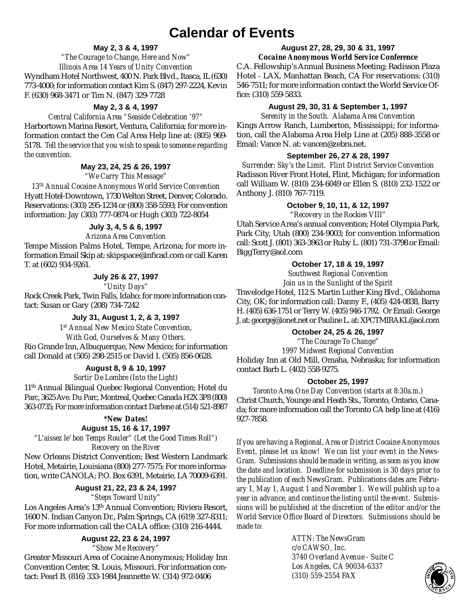### **Calendar of Events**

#### **May 2, 3 & 4, 1997**

#### *"The Courage to Change, Here and Now" Illinois Area 14 Years of Unity Convention*

Wyndham Hotel Northwest, 400 N. Park Blvd., Itasca, IL (630) 773-4000; for information contact Kim S. (847) 297-2224, Kevin F. (630) 968-3471 or Tim N. (847) 329-7728

#### **May 2, 3 & 4, 1997**

#### *Central California Area "Seaside Celebration '97"*

Harbortown Marina Resort, Ventura, California; for more information contact the Cen Cal Area Help line at: (805) 969- 5178. *Tell the service that you wish to speak to someone regarding the convention.*

#### **May 23, 24, 25 & 26, 1997**

*"We Carry This Message"*

*13th Annual Cocaine Anonymous World Service Convention* Hyatt Hotel-Downtown, 1730 Welton Street, Denver, Colorado. Reservations: (303) 295-1234 or (800) 358-5593; For convention information: Jay (303) 777-0874 or Hugh (303) 722-8054

#### **July 3, 4, 5 & 6, 1997**

#### *Arizona Area Convention*

Tempe Mission Palms Hotel, Tempe, Arizona; for more information Email Skip at: skipspace@inficad.com or call Karen T. at (602) 934-9261.

#### **July 26 & 27, 1997**

*"Unity Days"*

Rock Creek Park, Twin Falls, Idaho; for more information contact: Susan or Gary (208) 734-7242

#### **July 31, August 1, 2, & 3, 1997**

*1st Annual New Mexico State Convention, With God, Ourselves & Many Others.*

Rio Grande Inn, Albuquerque, New Mexico; for information call Donald at (505) 298-2515 or David I. (505) 856-0628.

#### **August 8, 9 & 10, 1997**

#### *Sortir De Lombre (Into the Light)*

11th Annual Bilingual Quebec Regional Convention; Hotel du Parc, 3625 Ave. Du Parc, Montreal, Quebec Canada H2X 3P8 (800) 363-0735; For more information contact Darlene at (514) 521-8987

#### **\****New Dates!*

#### **August 15, 16 & 17, 1997**

*"L'aissez le' bon Temps Rouler" (Let the Good Times Roll") Recovery on the River*

New Orleans District Convention; Best Western Landmark Hotel, Metairie, Louisiana (800) 277-7575; For more information, write CANOLA; P.O. Box 6391, Metairie, LA 70009-6391.

### **August 21, 22, 23 & 24, 1997**

*"Steps Toward Unity"*

Los Angeles Area's 13th Annual Convention; Riviera Resort, 1600 N. Indian Canyon Dr., Palm Springs, CA (619) 327-8311; For more information call the CALA office: (310) 216-4444.

#### **August 22, 23 & 24, 1997**

*"Show Me Recovery"*

Greater Missouri Area of Cocaine Anonymous; Holiday Inn Convention Center, St. Louis, Missouri. For information contact: Pearl B. (816) 333-1984 Jeannette W. (314) 972-0406

### **August 27, 28, 29, 30 & 31, 1997**

*Cocaine Anonymous World Service Conference*

C.A. Fellowship's Annual Business Meeting; Radisson Plaza Hotel - LAX, Manhattan Beach, CA For reservations: (310) 546-7511; for more information contact the World Service Office: (310) 559-5833.

#### **August 29, 30, 31 & September 1, 1997**

*Serenity in the South. Alabama Area Convention* Kings Arrow Ranch, Lumberton, Mississippi; for information, call the Alabama Area Help Line at (205) 888-3558 or Email: Vance N. at: vancen@zebra.net.

#### **September 26, 27 & 28, 1997**

*Surrender: Sky's the Limit. Flint District Service Convention* Radisson River Front Hotel, Flint, Michigan; for information call William W. (810) 234-6049 or Ellen S. (810) 232-1522 or Anthony J. (810) 767-7119.

#### **October 9, 10, 11, & 12, 1997**

*"Recovery in the Rockies VIII"*

Utah Service Area's annual convention; Hotel Olympia Park, Park City, Utah (800) 234-9003; for convention information call: Scott J. (801) 363-3963 or Ruby L. (801) 731-3798 or Email: BiggTerry@aol.com

#### **October 17, 18 & 19, 1997**

*Southwest Regional Convention Join us in the Sunlight of the Spirit*

Travelodge Hotel, 112 S. Martin Luther King Blvd., Oklahoma City, OK; for information call: Danny F., (405) 424-0838, Barry H. (405) 636-1751 or Terry W. (405) 946-1792. Or Email: George J. at: georgej@ionet.net or Pauline L. at: XPCTMIRAKL@aol.com

#### **October 24, 25 & 26, 1997**

*"The Courage To Change"*

*1997 Midwest Regional Convention* Holiday Inn at Old Mill, Omaha, Nebraska; for information contact Barb L. (402) 558-9275.

#### **October 25, 1997**

*Toronto Area One Day Convention (starts at 8:30a.m.)* Christ Church, Younge and Heath Sts., Toronto, Ontario, Canada; for more information call the Toronto CA help line at (416) 927-7858.

*If you are having a Regional, Area or District Cocaine Anonymous Event, please let us know! We can list your event in the News-Gram. Submissions should be made in writing, as soon as you know the date and location. Deadline for submission is 30 days prior to the publication of each NewsGram. Publications dates are: February 1, May 1, August 1 and November 1. We will publish up to a year in advance, and continue the listing until the event. Submissions will be published at the discretion of the editor and/or the World Service Office Board of Directors. Submissions should be made to:*

> *ATTN: The NewsGram c/o CAWSO, Inc. 3740 Overland Avenue - Suite C Los Angeles, CA 90034-6337*  $(310)$  559-2554 FAX

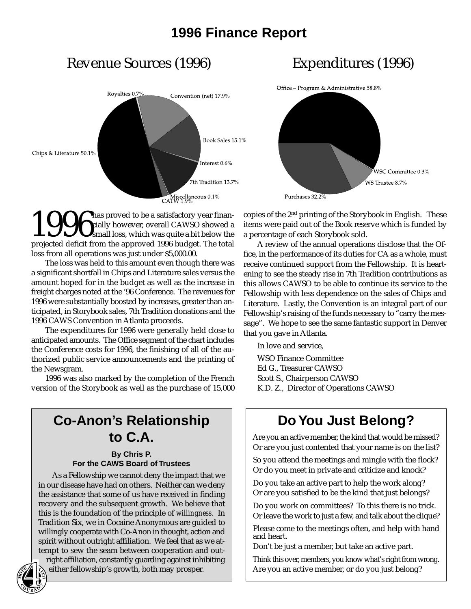### **1996 Finance Report**

### Revenue Sources (1996) Expenditures (1996)





1996 has proved to be a satisfactory year finan-<br>cially however, overall CAWSO showed a<br>projected deficit from the approved 1996 budget. The total cially however, overall CAWSO showed a small loss, which was quite a bit below the projected deficit from the approved 1996 budget. The total loss from all operations was just under \$5,000.00.

The loss was held to this amount even though there was a significant shortfall in Chips and Literature sales versus the amount hoped for in the budget as well as the increase in freight charges noted at the '96 Conference. The revenues for 1996 were substantially boosted by increases, greater than anticipated, in Storybook sales, 7th Tradition donations and the 1996 CAWS Convention in Atlanta proceeds.

The expenditures for 1996 were generally held close to anticipated amounts. The Office segment of the chart includes the Conference costs for 1996, the finishing of all of the authorized public service announcements and the printing of the Newsgram.

1996 was also marked by the completion of the French version of the Storybook as well as the purchase of 15,000

### **Co-Anon's Relationship to C.A.**

#### **By Chris P. For the CAWS Board of Trustees**

As a Fellowship we cannot deny the impact that we in our disease have had on others. Neither can we deny the assistance that some of us have received in finding recovery and the subsequent growth. We believe that this is the foundation of the principle of *willingness*. In Tradition Six, we in Cocaine Anonymous are guided to willingly cooperate with Co-Anon in thought, action and spirit without outright affiliation. We feel that as we attempt to sew the seam between cooperation and out-

right affiliation, constantly guarding against inhibiting either fellowship's growth, both may prosper.

copies of the 2nd printing of the Storybook in English. These items were paid out of the Book reserve which is funded by a percentage of each Storybook sold.

A review of the annual operations disclose that the Office, in the performance of its duties for CA as a whole, must receive continued support from the Fellowship. It is heartening to see the steady rise in 7th Tradition contributions as this allows CAWSO to be able to continue its service to the Fellowship with less dependence on the sales of Chips and Literature. Lastly, the Convention is an integral part of our Fellowship's raising of the funds necessary to "carry the message". We hope to see the same fantastic support in Denver that you gave in Atlanta.

In love and service,

WSO Finance Committee Ed G., Treasurer CAWSO Scott S., Chairperson CAWSO K.D. Z., Director of Operations CAWSO

### **Do You Just Belong?**

Are you an active member, the kind that would be missed? Or are you just contented that your name is on the list?

So you attend the meetings and mingle with the flock? Or do you meet in private and criticize and knock?

Do you take an active part to help the work along? Or are you satisfied to be the kind that just belongs?

Do you work on committees? To this there is no trick. Or leave the work to just a few, and talk about the clique?

Please come to the meetings often, and help with hand and heart.

Don't be just a member, but take an active part.

Think this over, members, you know what's right from wrong. Are you an active member, or do you just belong?

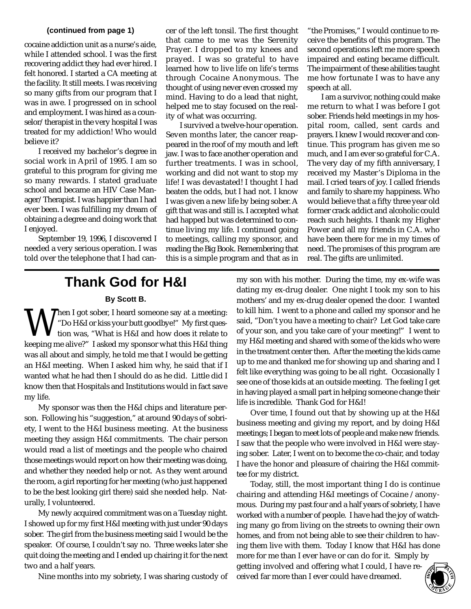#### **(continued from page 1)**

cocaine addiction unit as a nurse's aide, while I attended school. I was the first recovering addict they had ever hired. I felt honored. I started a CA meeting at the facility. It still meets. I was receiving so many gifts from our program that I was in awe. I progressed on in school and employment. I was hired as a counselor/therapist in the very hospital I was treated for my addiction! Who would believe it?

I received my bachelor's degree in social work in April of 1995. I am so grateful to this program for giving me so many rewards. I stated graduate school and became an HIV Case Manager/Therapist. I was happier than I had ever been. I was fulfilling my dream of obtaining a degree and doing work that I enjoyed.

September 19, 1996, I discovered I needed a very serious operation. I was told over the telephone that I had cancer of the left tonsil. The first thought that came to me was the Serenity Prayer. I dropped to my knees and prayed. I was so grateful to have learned how to live life on life's terms through Cocaine Anonymous. The thought of using never even crossed my mind. Having to do a lead that night, helped me to stay focused on the reality of what was occurring.

I survived a twelve-hour operation. Seven months later, the cancer reappeared in the roof of my mouth and left jaw. I was to face another operation and further treatments. I was in school, working and did not want to stop my life! I was devastated! I thought I had beaten the odds, but I had not. I know I was given a new life by being sober. A gift that was and still is. I accepted what had happed but was determined to continue living my life. I continued going to meetings, calling my sponsor, and reading the Big Book. Remembering that this is a simple program and that as in

"the Promises," I would continue to receive the benefits of this program. The second operations left me more speech impaired and eating became difficult. The impairment of these abilities taught me how fortunate I was to have any speech at all.

I am a survivor, nothing could make me return to what I was before I got sober. Friends held meetings in my hospital room, called, sent cards and prayers. I knew I would recover and continue. This program has given me so much, and I am ever so grateful for C.A. The very day of my fifth anniversary, I received my Master's Diploma in the mail. I cried tears of joy. I called friends and family to share my happiness. Who would believe that a fifty three year old former crack addict and alcoholic could reach such heights. I thank my Higher Power and all my friends in C.A. who have been there for me in my times of need. The promises of this program are real. The gifts are unlimited.

### **Thank God for H&I**

#### **By Scott B.**

When I got sober, I heard someone say at a meeting:<br>
"Do H&I or kiss your butt goodbye!" My first question was, "What is H&I and how does it relate to<br>
keeping me alive?" I asked my sponsor what this H&I thing "Do H&I or kiss your butt goodbye!" My first question was, "What is H&I and how does it relate to keeping me alive?" I asked my sponsor what this H&I thing was all about and simply, he told me that I would be getting an H&I meeting. When I asked him why, he said that if I wanted what he had then I should do as he did. Little did I know then that Hospitals and Institutions would in fact save my life.

My sponsor was then the H&I chips and literature person. Following his "suggestion," at around 90 days of sobriety, I went to the H&I business meeting. At the business meeting they assign H&I commitments. The chair person would read a list of meetings and the people who chaired those meetings would report on how their meeting was doing, and whether they needed help or not. As they went around the room, a girl reporting for her meeting (who just happened to be the best looking girl there) said she needed help. Naturally, I volunteered.

My newly acquired commitment was on a Tuesday night. I showed up for my first H&I meeting with just under 90 days sober. The girl from the business meeting said I would be the speaker. Of course, I couldn't say no. Three weeks later she quit doing the meeting and I ended up chairing it for the next two and a half years.

Nine months into my sobriety, I was sharing custody of

my son with his mother. During the time, my ex-wife was dating my ex-drug dealer. One night I took my son to his mothers' and my ex-drug dealer opened the door. I wanted to kill him. I went to a phone and called my sponsor and he said, "Don't you have a meeting to chair? Let God take care of your son, and you take care of your meeting!" I went to my H&I meeting and shared with some of the kids who were in the treatment center then. After the meeting the kids came up to me and thanked me for showing up and sharing and I felt like everything was going to be all right. Occasionally I see one of those kids at an outside meeting. The feeling I get in having played a small part in helping someone change their life is incredible. Thank God for H&I!

Over time, I found out that by showing up at the H&I business meeting and giving my report, and by doing H&I meetings; I began to meet lots of people and make new friends. I saw that the people who were involved in H&I were staying sober. Later, I went on to become the co-chair, and today I have the honor and pleasure of chairing the H&I committee for my district.

Today, still, the most important thing I do is continue chairing and attending H&I meetings of Cocaine /anonymous. During my past four and a half years of sobriety, I have worked with a number of people. I have had the joy of watching many go from living on the streets to owning their own homes, and from not being able to see their children to having them live with them. Today I know that H&I has done more for me than I ever have or can do for it. Simply by getting involved and offering what I could, I have received far more than I ever could have dreamed.

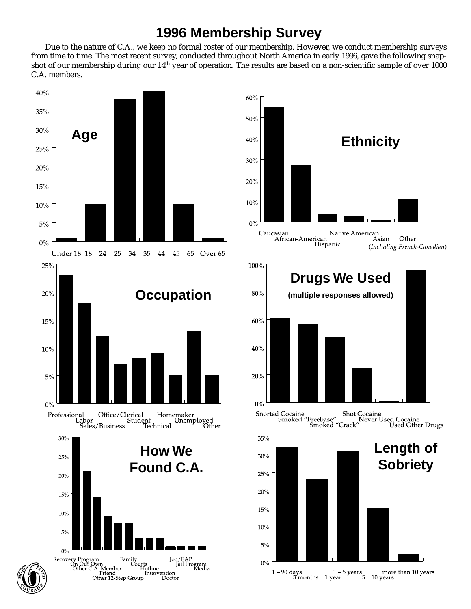### **1996 Membership Survey**

Due to the nature of C.A., we keep no formal roster of our membership. However, we conduct membership surveys from time to time. The most recent survey, conducted throughout North America in early 1996, gave the following snapshot of our membership during our 14th year of operation. The results are based on a non-scientific sample of over 1000 C.A. members.



Family Tourts<br>
Family Tob/<br>
er Hotline Intervention<br>
Step Group Doctor

Job/EAP<br>Jail Program<br>ion Media





 $5%$ 

 $0\%$ 

Recovery Program Family<br>On Our Own Court<br>Other C.A. Member Court<br>Friend Other 12-Step Group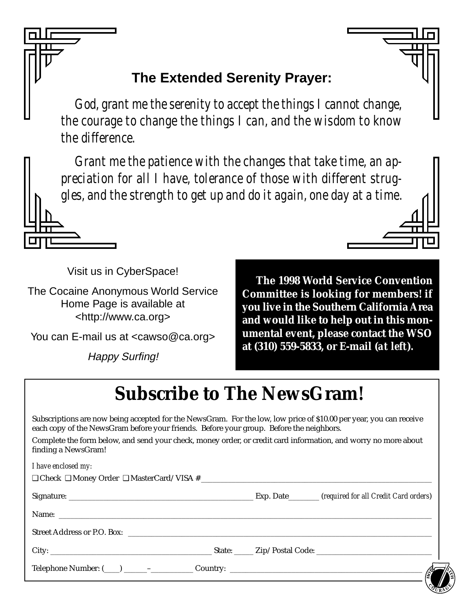## **The Extended Serenity Prayer:**

God, grant me the serenity to accept the things I cannot change, the courage to change the things I can, and the wisdom to know the difference.

Grant me the patience with the changes that take time, an appreciation for all I have, tolerance of those with different struggles, and the strength to get up and do it again, one day at a time.

Visit us in CyberSpace!

The Cocaine Anonymous World Service Home Page is available at <http://www.ca.org>

You can E-mail us at <cawso@ca.org>

**Happy Surfing!** 

The 1998 World Service Convention Committee is looking for members! if you live in the Southern California Area and would like to help out in this monumental event, please contact the WSO at (310) 559-5833, or E-mail (at left).

# **Subscribe to The NewsGram!**

Subscriptions are now being accepted for the NewsGram. For the low, low price of \$10.00 per year, you can receive each copy of the NewsGram before your friends. Before your group. Before the neighbors.

Complete the form below, and send your check, money order, or credit card information, and worry no more about finding a NewsGram!

| I have enclosed my: |  |  |
|---------------------|--|--|
|                     |  |  |
|                     |  |  |
|                     |  |  |
|                     |  |  |
|                     |  |  |